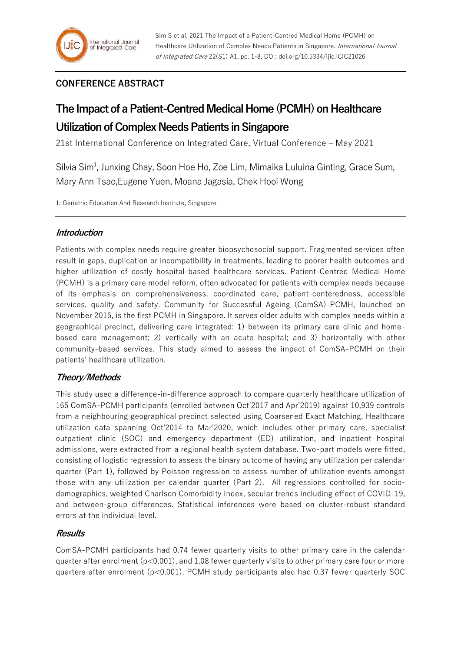# **CONFERENCE ABSTRACT**

# **The Impact of a Patient-Centred Medical Home (PCMH) on Healthcare Utilization of Complex Needs Patients in Singapore**

21st International Conference on Integrated Care, Virtual Conference – May 2021

Silvia Sim<sup>1</sup>, Junxing Chay, Soon Hoe Ho, Zoe Lim, Mimaika Luluina Ginting, Grace Sum, Mary Ann Tsao,Eugene Yuen, Moana Jagasia, Chek Hooi Wong

1: Geriatric Education And Research Institute, Singapore

# **Introduction**

Patients with complex needs require greater biopsychosocial support. Fragmented services often result in gaps, duplication or incompatibility in treatments, leading to poorer health outcomes and higher utilization of costly hospital-based healthcare services. Patient-Centred Medical Home (PCMH) is a primary care model reform, often advocated for patients with complex needs because of its emphasis on comprehensiveness, coordinated care, patient-centeredness, accessible services, quality and safety. Community for Successful Ageing (ComSA)-PCMH, launched on November 2016, is the first PCMH in Singapore. It serves older adults with complex needs within a geographical precinct, delivering care integrated: 1) between its primary care clinic and homebased care management; 2) vertically with an acute hospital; and 3) horizontally with other community-based services. This study aimed to assess the impact of ComSA-PCMH on their patients' healthcare utilization.

# **Theory/Methods**

This study used a difference-in-difference approach to compare quarterly healthcare utilization of 165 ComSA-PCMH participants (enrolled between Oct'2017 and Apr'2019) against 10,939 controls from a neighbouring geographical precinct selected using Coarsened Exact Matching. Healthcare utilization data spanning Oct'2014 to Mar'2020, which includes other primary care, specialist outpatient clinic (SOC) and emergency department (ED) utilization, and inpatient hospital admissions, were extracted from a regional health system database. Two-part models were fitted, consisting of logistic regression to assess the binary outcome of having any utilization per calendar quarter (Part 1), followed by Poisson regression to assess number of utilization events amongst those with any utilization per calendar quarter (Part 2). All regressions controlled for sociodemographics, weighted Charlson Comorbidity Index, secular trends including effect of COVID-19, and between-group differences. Statistical inferences were based on cluster-robust standard errors at the individual level.

# **Results**

ComSA-PCMH participants had 0.74 fewer quarterly visits to other primary care in the calendar quarter after enrolment (p<0.001), and 1.08 fewer quarterly visits to other primary care four or more quarters after enrolment (p<0.001). PCMH study participants also had 0.37 fewer quarterly SOC